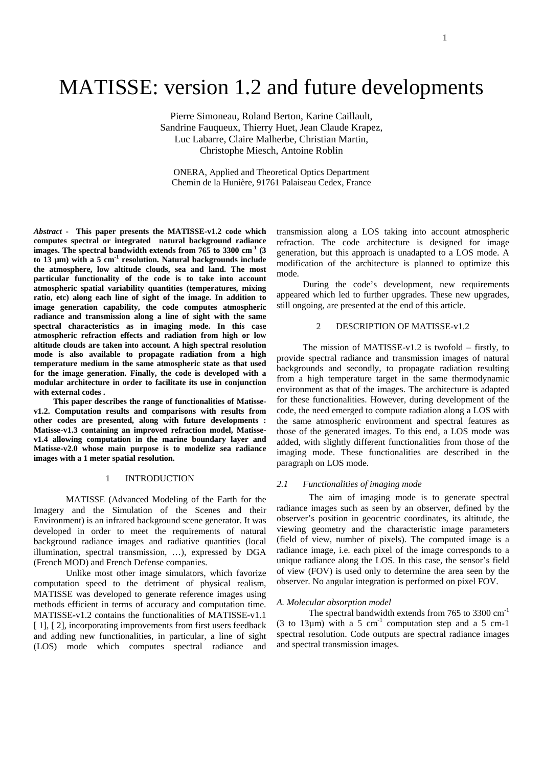# MATISSE: version 1.2 and future developments

Pierre Simoneau, Roland Berton, Karine Caillault, Sandrine Fauqueux, Thierry Huet, Jean Claude Krapez, Luc Labarre, Claire Malherbe, Christian Martin, Christophe Miesch, Antoine Roblin

ONERA, Applied and Theoretical Optics Department Chemin de la Hunière, 91761 Palaiseau Cedex, France

*Abstract* **- This paper presents the MATISSE-v1.2 code which** transmission along a LOS taking into account atmospheric **images. The spectral bandwidth extends from 765 to 3300 cm the atmosphere, low altitude clouds, sea and land. The most particular functionality of the code is to take into account atmospheric spatial variability quantities (temperatures, mixing ratio, etc) along each line of sight of the image. In addition to image generation capability, the code computes atmospheric radiance** and **transmission** along a line of sight with the same<br>spectral characteristics as in imaging mode. In this case  $\qquad \qquad 2$  DESCRIPTION OF MATISSE-v1.2 **spectral characteristics as in imaging mode. In this case atmospheric refraction effects and radiation from high or low altitude clouds are taken into account. A high spectral resolution mode is also available to propagate radiation from a high temperature medium in the same atmospheric state as that used for the image generation. Finally, the code is developed with a modular architecture in order to facilitate its use in conjunction**

**This paper describes the range of functionalities of Matissev1.4 allowing computation in the marine boundary layer and Matisse-v2.0 whose main purpose is to modelize sea radiance images with a 1 meter spatial resolution.**

# 1 INTRODUCTION 2.1 Functionalistic of interior and the set of the set of the set of the set of the set of the set of the set of the set of the set of the set of the set of the set of the set of the set of the set of the se

MATISSE (Advanced Modeling of the Earth for the Imagery and the Simulation of the Scenes and their Environment) is an infrared background scene generator. It was developed in order to meet the requirements of natural background radiance images and radiative quantities (local illumination, spectral transmission, …), expressed by DGA (French MOD) and French Defense companies.

Unlike most other image simulators, which favorize computation speed to the detriment of physical realism, MATISSE was developed to generate reference images using methods efficient in terms of accuracy and computation time. MATISSE-v1.2 contains the functionalities of MATISSE-v1.1 [1], [2], incorporating improvements from first users feedback and adding new functionalities, in particular, a line of sight (LOS) mode which computes spectral radiance and

**computes spectral or integrated natural background radiance** refraction. The code architecture is designed for image <sup>-1</sup> <sup>(3</sup>) generation, but this approach is unadapted to a LOS mode. A **to**  $13 \text{ }\mu\text{m}$ ) with a 5 cm<sup>-1</sup> resolution. Natural backgrounds include  $\frac{\text{gcnctation}}{\text{modification of the architecture is planned to optimize this}}$ modification of the architecture is planned to optimize this mode.

> During the code's development, new requirements appeared which led to further upgrades. These new upgrades, still ongoing, are presented at the end of this article.

# 2 DESCRIPTION OF MATISSE-v1.2

**with external codes .** environment as that of the images. The architecture is adapted **v1.2. Computation results and comparisons with results from** code, theneed emerged to compute radiation along a LOS with **other codes are presented, along with future developments :** the same atmospheric environment and spectral features as **Matisse-v1.3 containing an improved refraction model, Matisse-** those of the generated images. To this end, a LOS mode was The mission of MATISSE-v1.2 is twofold – firstly, to provide spectral radiance and transmission images of natural backgrounds and secondly, to propagate radiation resulting from a high temperature target in the same thermodynamic for these functionalities. However, during development of the added, with slightly different functionalities from those of the imaging mode. These functionalities are described in the paragraph on LOS mode.

### *2.1 Functionalities of imaging mode*

The aim of imaging mode is to generate spectral radiance images such as seen by an observer, defined by the observer's position in geocentric coordinates, its altitude, the viewing geometry and the characteristic image parameters (field of view, number of pixels). The computed image is a radiance image, i.e. each pixel of the image corresponds to a unique radiance along the LOS. In this case, the sensor's field of view (FOV) is used only to determine the area seen by the observer. No angular integration is performed on pixel FOV.

### *A. Molecular absorption model*

The spectral bandwidth extends from  $765$  to  $3300 \text{ cm}^{-1}$ (3 to 13 $\mu$ m) with a 5 cm<sup>-1</sup> computation step and a 5 cm-1 spectral resolution. Code outputs are spectral radiance images and spectral transmission images.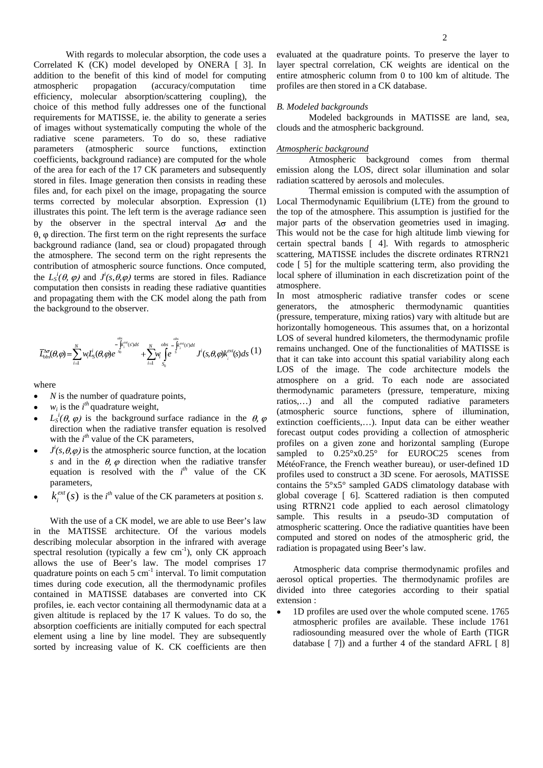Correlated K (CK) model developed by ONERA [ 3]. In layer spectral correlation, CK weights are identical on the addition to the benefit of this kind of model for computing entire atmospheric column from 0 to 100 km of altitude. The atmospheric propagation (accuracy/computation time profiles are then stored in a CK database. efficiency, molecular absorption/scattering coupling), the choice of this method fully addresses one of the functional *B. Modeled backgrounds* requirements for MATISSE, ie. the ability to generate a series of images without systematically computing the whole of the radiative scene parameters. To do so, these radiative parameters (atmospheric source functions, extinction *Atmospheric background* coefficients, background radiance) are computed for the whole of the area for each of the 17 CK parameters and subsequently emission along the LOS, direct solar illumination and solar stored in files. Image generation then consists in reading these files and, for each pixel on the image, propagating the source by the observer in the spectral interval  $\Delta\sigma$  and the  $\theta$ ,  $\phi$  direction. The first term on the right represents the surface background radiance (land, sea or cloud) propagated through the atmosphere. The second term on the right represents the contribution of atmospheric source functions. Once computed, computation then consists in reading these radiative quantities atmosphere. and propagating them with the CK model along the path from the background to the observer.

$$
\overline{L}_{obs}^{\Delta\sigma}(\theta,\varphi)=\sum_{i=1}^N w_i \underline{L}_S^i(\theta,\varphi) e^{\int\limits_{s_0}^{obs} \int\limits_{s_0}^{ext(s')ds'} +\sum_{i=1}^N w_i \int\limits_{s_0}^{obs} e^{\int\limits_{s}^{obs} \int\limits_{s'}^{d's} f'(s,\theta,\varphi) k_i^{ext}(s)ds} (1)
$$

- 
- 
- direction when the radiative transfer equation is resolved with the  $i^{th}$  value of the CK parameters,
- *s* and in the  $\theta$ ,  $\varphi$  direction when the radiative transfer equation is resolved with the  $i^{th}$  value of the CK
- $k_i^{ext}(s)$  is the *i*<sup>th</sup> value of the CK parameters at position *s*.

With the use of a CK model, we are able to use Beer's law in the MATISSE architecture. Of the various models describing molecular absorption in the infrared with average spectral resolution (typically a few  $cm^{-1}$ ), only CK approach allows the use of Beer's law. The model comprises 17 quadrature points on each 5 cm<sup>-1</sup> interval. To limit computation<br>
and the computation and the computation and the computation and the computation and the computation of the computation times during code execution, all the thermodynamic profiles contained in MATISSE databases are converted into CK divided in<br>extension:<br>extension: profiles, ie. each vector containing all thermodynamic data at a given altitude is replaced by the17 K values. To do so, the absorption coefficients are initially computed for each spectral element using a line by line model. They are subsequently sorted by increasing value of K. CK coefficients are then

With regards to molecular absorption, the code uses a evaluated at the quadrature points. To preserve the layer to

# *B. Modeled backgrounds*

Modeled backgrounds in MATISSE are land, sea, clouds and the atmospheric background.

# *Atmospheric background*

Atmospheric background comes from thermal radiation scattered by aerosols and molecules.

terms corrected by molecular absorption. Expression (1) Local Thermodynamic Equilibrium (LTE) from the ground to illustrates this point. The left term is the average radiance seen the top of the atmosphere. This assumption is justified for the the  $L_s^i(\theta, \varphi)$  and  $J^i(s, \theta, \varphi)$  terms are stored in files. Radiance local sphere of illumination in each discretization point of the  $i(s, \theta, \varphi)$  terms are stored in files. Radiance local sphere of illumination in each discretization point of the Thermal emission is computed with the assumption of major parts of the observation geometries used in imaging. This would not be the case for high altitude limb viewing for certain spectral bands [ 4].With regards to atmospheric scattering, MATISSE includes the discrete ordinates RTRN21 code [ 5] for the multiple scattering term, also providing the atmosphere.

 $\sum_{i=1}^{N} w_i L_{\mathbf{S}}^i(\theta, \phi) e^{\phi_0} + \sum_{i=1}^{N} w_i L_{\mathbf{S}}^i(\theta, \phi) e^{\phi_0} + \sum_{i=1}^{N} w_i L_{\mathbf{S}}^i(\theta, \phi) e^{\phi_0} + \sum_{i=1}^{N} w_i L_{\mathbf{S}}^i(\theta, \phi) e^{\phi_0} + \sum_{i=1}^{N} w_i L_{\mathbf{S}}^i(\theta, \phi) e^{\phi_0}$  $\sum_{i=1}^{N} w_i \int_{S_0}^{obs - \int_{S_i}^{Rx}(s)ds} J^i(s,\theta,\phi)k_i^{ext}(s)ds$  (1) remains unchanged. One of the functionalities of MATISSE is that it can take into account this spatial variability along each  $\sum_{i=1}^{N} w_i L_s^i(\theta, \varphi) e^{-\int_{s_i}^{k_i} \varphi(s) ds} + \sum_{i=1}^{N} w_i \int_{s_i}^{obs} e^{-\int_{s_i}^{k_i} \varphi(s) ds} J^i(s, \theta, \varphi) k_i^{ext}(s) ds$  (1) remains unchanged. One of the functionalities of MATISSE is that it can take into account this spatial variabil  $\overline{L}^{\infty}_{obs}(\theta,\varphi) = \sum_{i=1}^N w_i \overline{L}_S^i(\theta,\varphi) e^{-s}$   $+ \sum_{i=1}^N w_i \int e^{-s} f(s,\theta,\varphi) k_i^{\text{ext}}(s) ds$ <sup>(1)</sup> Fundamis unchanged. One of the functionalities of MAT155E is that it can take into account this spatial variability along  $\int_{s}^{\phi_{\xi}} f(x,y)ds$  *Solutionality Solutionality Solutionality Solutionality Solutionality Solutionality Solutionality Solutionality Solutionality Solutionality Solutionality Solutionality Solution*  $\frac{1}{1}$   $\frac{1}{s_0}$  and  $\frac{1}{s_0}$  architecture models the image. The code architecture models the where<br>thermodynamic parameters (pressure, temperature, mixing<br> $\frac{N}{n}$  the number of suggesting points  $N$  is the number of quadrature points,<br>
ratios,...) and all the computed radiative parameters  $w_i$  is the  $i^h$  quadrature weight,<br>  $\frac{1}{2}$  (atmospheric source functions, sphere of illumination,  $L_s^i(\theta, \varphi)$  is the background surface radiance in the  $\theta$ ,  $\varphi$  extinction coefficients ) Input data can be either weather with the *i*<sup>th</sup> value of the CK parameters,<br>
profiles on a given zone and horizontal sampling (Europe  $J^i(s, \theta, \varphi)$  is the atmospheric source function, at the location sampled to  $0.25^\circ \times 0.25^\circ$  for EUROC25 scenes from equation is resolved with the  $i<sup>th</sup>$  value of the CK profiles used to construct a 3D scene. For aerosols, MATISSE parameters,  $\qquad \qquad \text{contains the } 5^{\circ} \times 5^{\circ} \text{ sampled GADS climatology database with}$  $k_i^{ext}(s)$  is the *i*<sup>th</sup> value of the CK parameters at position *s*. global coverage [ 6]. Scattered radiation is then computed <sup>-1</sup>), only CK approach radiation is propagated using Beer's law. In most atmospheric radiative transfer codes or scene generators, the atmospheric thermodynamic quantities (pressure, temperature, mixing ratios) vary with altitude but are horizontally homogeneous. This assumes that, on a horizontal LOS of several hundred kilometers, the thermodynamic profile atmosphere on a grid. To each node are associated extinction coefficients,…). Input data can be either weather forecast output codes providing a collection of atmospheric sampled to  $0.25^{\circ} \times 0.25^{\circ}$  for EUROC25 scenes from MétéoFrance, the French weather bureau), or user-defined 1D using RTRN21 code applied to each aerosol climatology sample. This results in a pseudo-3D computation of atmospheric scattering. Once the radiative quantities have been computed and stored on nodes of the atmospheric grid, the radiation is propagated using Beer's law.

> Atmospheric data comprise thermodynamic profiles and aerosol optical properties. The thermodynamic profiles are divided into three categories according to their spatial extension :

1D profiles are used over the whole computed scene. 1765 atmospheric profiles are available. These include 1761 radiosounding measured over the whole of Earth (TIGR database [ 7]) and a further 4 of the standard AFRL [ 8]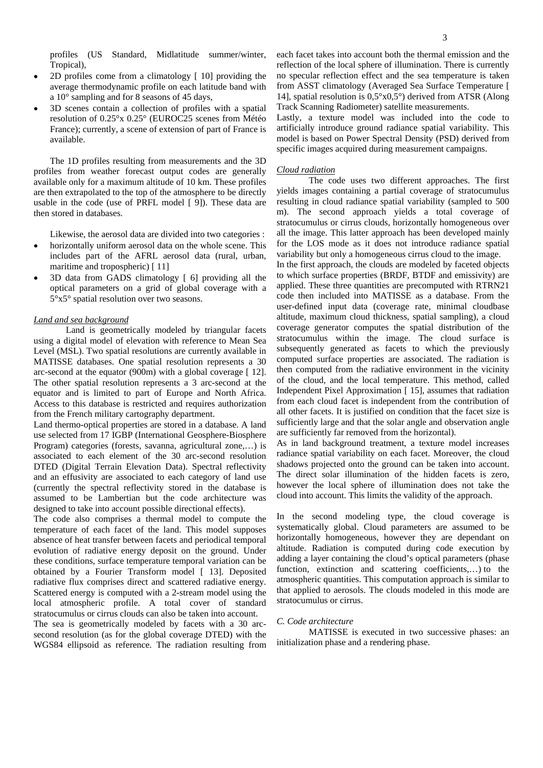profiles (US Standard, Midlatitude summer/winter,

- 2D profiles come from a climatology [ 10] providing the
- 3D scenes contain a collection of profiles with a spatial resolution of 0.25°x 0.25° (EUROC25 scenes from Météo France); currently, a scene of extension of part of France is

The 1D profiles resulting from measurements and the 3D profiles from weather forecast output codes are generally *Cloud radiation* available only for a maximum altitude of 10 km. These profiles are then extrapolated to the top of the atmosphere to be directly usable in the code (use of PRFL model [ 9]). These data are

Likewise, the aerosol data are divided into two categories :

- horizontally uniform aerosol data on the whole scene. This includes part of the AFRL aerosol data (rural, urban,
- 3D data from GADS climatology [ 6] providing all the optical parameters on a grid of global coveragewith a 5°x5° spatial resolution over two seasons.

Land is geometrically modeled by triangular facets using a digital model of elevation with reference to Mean Sea Level (MSL). Two spatial resolutions are currently available in MATISSE databases. One spatial resolution represents a 30 arc-second at the equator (900m) with a global coverage [ 12]. The other spatial resolution represents a 3 arc-second at the equator and is limited to part of Europe and North Africa. Access to this database is restricted and requires authorization from the French military cartography department.

Land thermo-optical properties are stored in a database. A land use selected from 17 IGBP (International Geosphere-Biosphere Program) categories (forests, savanna, agricultural zone,…) is associated to each element of the 30 arc-second resolution DTED (Digital Terrain Elevation Data). Spectral reflectivity and an effusivity are associated to each category of land use (currently the spectral reflectivity stored in the database is assumed to be Lambertian but the code architecture was designed to take into account possible directional effects).

The code also comprises a thermal model to compute the temperature of each facet of the land. This model supposes absence of heat transfer between facets and periodical temporal evolution of radiative energy deposit on the ground. Under these conditions, surface temperature temporal variation can be obtained by a Fourier Transform model [ 13]. Deposited radiative flux comprises direct and scattered radiative energy. Scattered energy is computed with a 2-stream model using the local atmospheric profile. A total cover of standard stratocumulus or cirrus clouds can also be taken into account.<br>The sea is geometrically modeled by facets with a 30 arc. C. Code architecture

The sea is geometrically modeled by facets with a30 arc second resolution (as for the global coverage DTED) with the WGS84 ellipsoid as reference. The radiation resulting from

Tropical), reflection of the local sphere of illumination. There is currently average thermodynamic profile on each latitude band with from ASST climatology (Averaged Sea Surface Temperature [ a 10° sampling and for 8 seasons of 45 days, 14], spatial resolution is  $0.5^{\circ}x0.5^{\circ}$  derived from ATSR (Along each facet takes into account both the thermal emission and the no specular reflection effect and the sea temperature is taken Track Scanning Radiometer) satellite measurements.

available. model is based on Power Spectral Density (PSD) derived from Lastly, a texture model was included into the code to artificially introduce ground radiance spatial variability. This specific images acquired during measurement campaigns.

# *Cloud radiation*

then stored in databases. m). The second approach yields a total coverage of The code uses two different approaches. The first yields images containing a partial coverage of stratocumulus resulting in cloud radiance spatial variability (sampled to 500 stratocumulus or cirrus clouds, horizontally homogeneous over all the image. This latter approach has been developed mainly for the LOS mode as it does not introduce radiance spatial variability but only a homogeneous cirrus cloud to the image.

maritime and tropospheric) [11] In the first approach, the clouds are modeled by faceted objects *Land and sea background* altitude, maximum cloud thickness, spatial sampling), a cloud to which surface properties (BRDF, BTDF and emissivity) are applied. These three quantities are precomputed with RTRN21 code then included into MATISSE as a database. From the user-defined input data (coverage rate, minimal cloudbase coverage generator computes the spatial distribution of the stratocumulus within the image. The cloud surface is subsequently generated as facets to which the previously computed surface properties are associated. The radiation is then computed from the radiative environment in the vicinity of the cloud, and the local temperature. This method, called Independent Pixel Approximation [ 15], assumes that radiation from each cloud facet is independent from the contribution of all other facets. It is justified on condition that the facet size is sufficiently large and that the solar angle and observation angle are sufficiently far removed from the horizontal).

> As in land background treatment, a texture model increases radiance spatial variability on each facet. Moreover, the cloud shadows projected onto the ground can be taken into account. The direct solar illumination of the hidden facets is zero, however the local sphere of illumination does not take the cloud into account. This limits the validity of the approach.

> In the second modeling type, the cloud coverage is systematically global. Cloud parameters are assumed to be horizontally homogeneous, however they are dependant on altitude. Radiation is computed during code execution by adding a layer containing the cloud's optical parameters (phase function, extinction and scattering coefficients,...) to the atmospheric quantities. This computation approach is similar to that applied to aerosols. The clouds modeled in this mode are stratocumulus or cirrus.

# *C. Code architecture*

MATISSE is executed in two successive phases: an initialization phase and a rendering phase.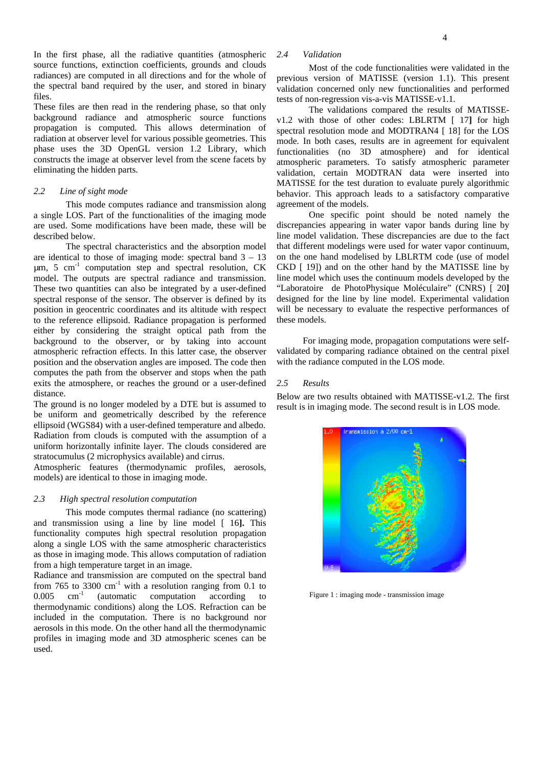In the first phase, all the radiative quantities (atmospheric 2.4 Validation source functions, extinction coefficients, grounds and clouds radiances) are computed in all directions and for the whole of the spectral band required by the user, and stored in binary

These files are then read in the rendering phase, so that only background radiance and atmospheric source functions propagation is computed. This allows determination of radiation at observer level for various possible geometries. This phase uses the 3D OpenGL version 1.2 Library, which constructs the image at observer level from the scene facets by

This mode computes radiance and transmission along a single LOS. Part of the functionalities of the imaging mode

The spectral characteristics and the absorption model  $\mu$ m, 5 cm<sup>-1</sup> computation step and spectral resolution, CK model. The outputs are spectral radiance and transmission. These two quantities can also be integrated by a user-defined to the reference ellipsoid. Radiance propagation is performed either by considering the straight optical path from the background to the observer, or by taking into account atmospheric refraction effects. In this latter case, the observer position and the observation angles are imposed. The code then computes the path from the observer and stops when the path exits the atmosphere, or reaches the ground or a user-defined 2.5 Results

The ground is no longer modeled by a DTE but is assumed to be uniform and geometrically described by the reference ellipsoid (WGS84) with a user-defined temperature and albedo. Radiation from clouds is computed with the assumption of a uniform horizontally infinite layer. The clouds considered are stratocumulus (2 microphysics available) and cirrus.

Atmospheric features (thermodynamic profiles, aerosols, models) are identical to those in imaging mode.

# *2.3 High spectral resolution computation*

This mode computes thermal radiance (no scattering) and transmission using a line by line model [ 16**].** This functionality computes high spectral resolution propagation along a single LOS with the same atmospheric characteristics as those in imaging mode. This allows computation of radiation from a high temperature target in an image.

Radiance and transmission are computed on the spectral band from 765 to 3300 cm<sup>-1</sup> with a resolution ranging from 0.1 to 0.005 cm<sup>-1</sup> (automatic computation according to <sup>-1</sup> with a resolution ranging from 0.1 to  $0.005$  cm<sup>-1</sup> (automatic computation according to Figure 1 : imaging mode - transmission image <sup>-1</sup> (automatic computation according to Figure 1 : imaging mode - transmission image thermodynamic conditions) along the LOS. Refraction can be included in the computation. There is no background nor aerosols in this mode. On the other hand all the thermodynamic profiles in imaging mode and 3D atmospheric scenes can be used. The contract of the contract of the contract of the contract of the contract of the contract of the contract of the contract of the contract of the contract of the contract of the contract of the contract of the cont

# *2.4 Validation*

files.<br>
tests of non-regression vis-a-vis MATISSE-v1.1. Most of the code functionalities were validated in the previous version of MATISSE (version 1.1). This present validation concerned only new functionalities and performed

constructs the image at observer level from the scene facets by atmospheric parameters. To satisfy atmospheric parameter eliminating the hidden parts.<br>
validation, certain MODTRAN data were inserted into *2.2 Line of sight mode* behavior. This approach leads to a satisfactory comparative The validations compared the results of MATISSEv1.2 with those of other codes: LBLRTM [ 17**]** for high spectral resolution mode and MODTRAN4 [ 18] for the LOS mode. In both cases, results are in agreement for equivalent functionalities (no 3D atmosphere) and for identical MATISSE for the test duration to evaluate purely algorithmic agreement of the models.

are used. Some modifications have been made, these will be discrepancies appearing in water vapor bands during line by described below. line model validation. These discrepancies are due to the fact are identical to those of imaging mode: spectral band 3 – 13 on the one hand modelised by LBLRTM code (use of model <sup>-1</sup> computation step and spectral resolution, CK CKD [ 19]) and on the other hand by the MATISSE line by spectral response of the sensor. The observer is defined by its designed for the line by line model. Experimental validation position in geocentric coordinates and its altitude with respect will be necessary to evaluate the respective performances of One specific point should be noted namely the that different modelings were used for water vapor continuum, line model which uses the continuum models developed by the "Laboratoire de PhotoPhysique Moléculaire" (CNRS) [ 20**]** these models.

> For imaging mode, propagation computations were self validated by comparing radiance obtained on the central pixel with the radiance computed in the LOS mode.

# *2.5 Results*

distance.<br>
Below are two results obtained with MATISSE-v1.2. The first result is in imaging mode. The second result is in LOS mode.



Figure 1 : imaging mode - transmission image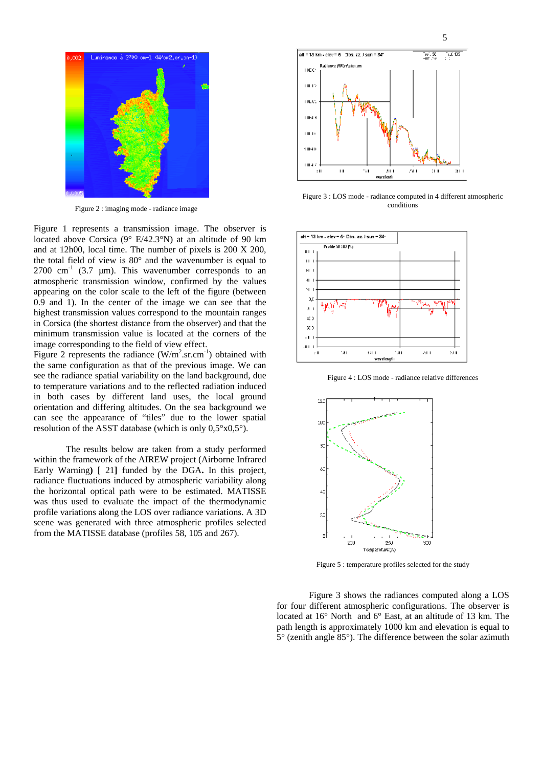

Figure 2 : imaging mode - radiance image conditions

Figure 1 represents a transmission image. The observer is located above Corsica  $(9^{\circ} E/42.3^{\circ} N)$  at an altitude of 90 km and at 12h00, local time. The number of pixels is 200 X 200, the total field of view is  $80^\circ$  and the wavenumber is equal to  $\vert \cdot \vert$ 2700 cm<sup>-1</sup> (3.7 µm). This wavenumber corresponds to an  $\vert \vert \vert$   $\vert \vert$   $\vert$   $\vert$   $\vert$   $\vert$   $\vert$ atmospheric transmission window, confirmed by the values appearing on the color scale to the left of the figure (between  $\begin{bmatrix} 4 \\ 0.0 \\ 0.0 \end{bmatrix}$ 0.9 and 1). In the center of the image we can see that the  $\frac{3}{4}$ highest transmission values correspond to the mountain ranges  $\begin{bmatrix} 1 \\ 4 \end{bmatrix}$ in Corsica (the shortest distance from the observer) and that the  $\begin{bmatrix} x \end{bmatrix}$ minimum transmission value is located at the corners of the

Figure 2 represents the radiance  $(W/m^2.sr.cm^{-1})$  obtained with the same configuration as that of the previous image. We can see the radiance spatial variability on the land background, due to temperature variations and to the reflected radiation induced in both cases by different land uses, the local ground orientation and differing altitudes. On the sea background we can see the appearance of "tiles" due to the lower spatial resolution of the ASST database (which is only 0,5°x0,5°).

The results below are taken from a study performed<sup>s</sup> within the framework of the AIREW project (Airborne Infrared Early Warning**)** [ 21**]** funded by the DGA**.** In this project, radiance fluctuations induced by atmospheric variability along the horizontal optical path were to be estimated. MATISSE was thus used to evaluate the impact of the thermodynamic profile variations along the LOS over radiance variations. A 3D scene was generated with three atmospheric profiles selected from the MATISSE database (profiles 58, 105 and 267).



Figure 3 : LOS mode - radiance computed in 4 different atmospheric conditions **conditions** 



Figure 4 : LOS mode - radiance relative differences



Figure 5 : temperature profiles selected for the study

Figure 3 shows the radiances computed along a LOS for four different atmospheric configurations. The observer is located at 16° North and 6° East, at an altitude of 13 km. The path length is approximately 1000 km and elevation is equal to 5° (zenith angle 85°). The difference between the solar azimuth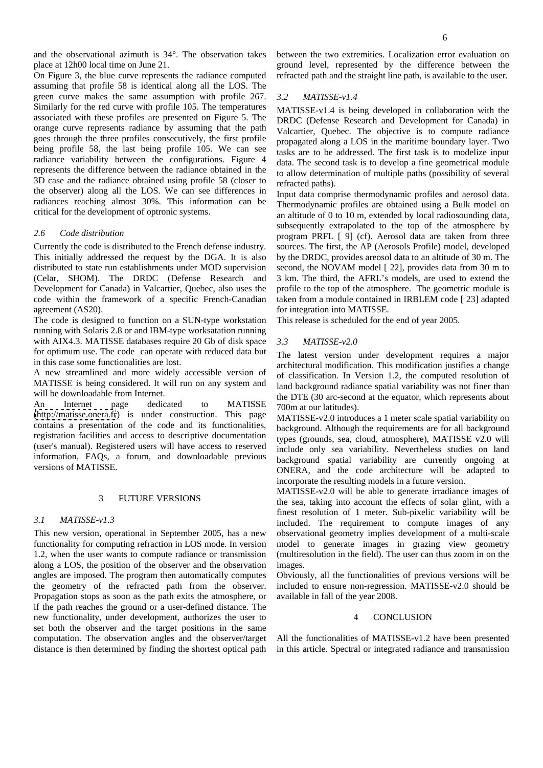On Figure 3, the blue curve represents the radiance computed assuming that profile 58 is identical along all the LOS. The green curve makes the same assumption with profile 267.  $3.2$  MATISSE-v1.4 Similarly for the red curve with profile 105. The temperatures associated with these profiles are presented on Figure 5. The orange curve represents radiance by assuming that the path Valcartier, Quebec. The objective is to compute radiance goes through the three profiles consecutively, the first profile being profile 58, the last being profile 105. We can see radiance variability between the configurations. Figure 4 represents the difference between the radiance obtained in the 3D case and the radiance obtained using profile 58 (closer to refracted paths). the observer) along all the LOS. We can see differences in radiances reaching almost 30%. This information can be

This initially addressed the request by the DGA. It is also by the DRDC, provides areosol data to an altitude of 30 m. The distributed to state run establishments under MOD supervision second, the NOVAM model [ 22], provides data from 30 m to (Celar, SHOM). The DRDC (Defense Research and 3 km. The third, the AFRL's models, are used to extend the Development for Canada) in Valcartier, Quebec, also uses the code within the framework of a specific French-Canadian taken from a module contained in IRBLEM code [ 23] adapted agreement (AS20). for integration into MATISSE.

The code is designed to function on a SUN-type workstation running with Solaris 2.8 or and IBM-type worksatation running with AIX4.3. MATISSE databases require 20 Gb of disk space  $3.3$  MATISSE- $v2.0$ for optimum use. The code can operate with reduced data but

A new streamlined and more widely accessible version of MATISSE is being considered. It will run on any system and

An Internet page dedicated to MATISSE  $700<sub>m</sub>$  at our latitudes) [\(http://matisse.onera.fr](http://matisse.onera.fr)) is under construction. This page contains a presentation of the code and its functionalities, registration facilities and access to descriptive documentation (user's manual). Registered users will have access to reserved information, FAQs, a forum, and downloadable previous

This new version, operational in September 2005, has a new observational geometry implies development of a multi-scale functionality for computing refraction in LOS mode. In version model to generate images in grazing view geometry 1.2, when the user wants to compute radiance or transmission (multiresolution in the field). The user can thus zoom in on the along a LOS, the position of the observer and the observation images. angles are imposed. The program then automatically computes Obviously, all the functionalities of previous versions will be the geometry of the refracted path from the observer. included to ensure non-regression. MATISSE-v2.0 should be Propagation stops as soon as the path exits the atmosphere, or if the path reaches the ground or a user-defined distance. The new functionality, under development, authorizes the user to  $\overline{a}$  CONCLUSION set both the observer and the target positions in the same computation. The observation angles and the observer/target All the functionalities of MATISSE-v1.2 have been presented distance is then determined by finding the shortest optical path in this article. Spectral or integrated radiance and transmission

and the observational azimuth is 34°. The observation takes between the two extremities. Localization error evaluation on place at 12h00 local time on June 21. ground level, represented by the difference between the refracted path and the straight line path, is available to the user.

# *3.2 MATISSE-v1.4*

MATISSE-v1.4 is being developed in collaboration with the DRDC (Defense Research and Development for Canada) in propagated along a LOS in the maritime boundary layer. Two tasks are to be addressed. The first task is to modelize input data. The second task is to develop a fine geometrical module to allow determination of multiple paths (possibility of several refracted paths).

critical for the development of optronic systems. an altitude of 0 to 10 m, extended by local radiosounding data, *2.6 Code distribution* program PRFL [ 9] (cf). Aerosol data are taken from three Currently the code is distributed to the French defense industry. sources. The first, the AP (Aerosols Profile) model, developed Input data comprise thermodynamic profiles and aerosol data. Thermodynamic profiles are obtained using a Bulk model on subsequently extrapolated to the top of the atmosphere by profile to the top of the atmosphere. The geometric module is

This release is scheduled for the end of year 2005.

# *3.3 MATISSE-v2.0*

in this case some functionalities are lost. architectural modification. This modification justifies a change will be downloadable from Internet.<br>the DTE (30 arc-second at the equator, which represents about The latest version under development requires a major of classification. In Version 1.2, the computed resolution of land background radiance spatial variability was not finer than 700m at our latitudes).

versions of MATISSE.<br>
ONERA, and the code architecture will be adapted to MATISSE-v2.0 introduces a 1 meter scale spatial variability on background. Although the requirements are for all background types (grounds, sea, cloud, atmosphere), MATISSE v2.0 will include only sea variability. Nevertheless studies on land background spatial variability are currently ongoing at incorporate the resulting models in a future version.

3 FUTURE VERSIONS the sea, taking into account the effects of solar glint, with a *3.1 MATISSE-v1.3* included. The requirement to compute images of any MATISSE-v2.0 will be able to generate irradiance images of finest resolution of 1 meter. Sub-pixelic variability will be images.

available in fall of the year 2008.

# 4 CONCLUSION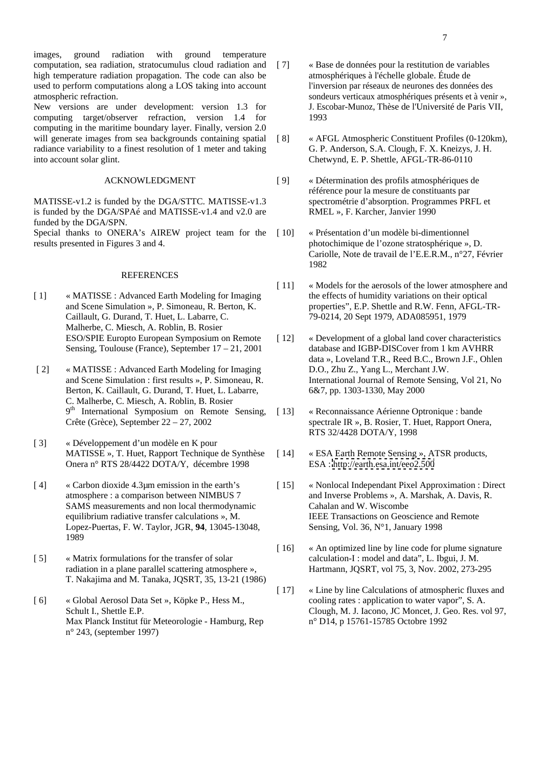images, ground radiation with ground temperature computation, sea radiation, stratocumulus cloud radiation and [7] high temperature radiation propagation. The code can also be used to perform computations along a LOS taking into account

New versions are under development: version 1.3 for computing target/observer refraction, version 1.4 for computing in the maritime boundary layer. Finally, version 2.0 will generate images from sea backgrounds containing spatial [8] radiance variability to a finest resolution of 1 meter and taking into account solar glint. Chetwynd, E. P. Shettle, AFGL-TR-86-0110

MATISSE-v1.2 is funded by the DGA/STTC. MATISSE-v1.3 is funded by the DGA/SPAé and MATISSE-v1.4 and v2.0 are funded by the DGA/SPN.

Special thanks to ONERA's AIREW project team for the [10] results presented in Figures 3 and 4. photochimique de l'ozone stratosphérique », D.

# REFERENCES

- [ 1] « MATISSE : Advanced Earth Modeling for Imaging Caillault, G. Durand, T. Huet, L. Labarre, C. Malherbe, C. Miesch, A. Roblin, B. Rosier ESO/SPIE Europto European Symposium on Remote Sensing, Toulouse (France), September 17 – 21, 2001
- [ 2] « MATISSE : Advanced Earth Modeling for Imaging and Scene Simulation : first results », P. Simoneau, R. Berton, K. Caillault, G. Durand, T. Huet, L. Labarre, C. Malherbe, C. Miesch, A. Roblin, B. Rosier 9<sup>th</sup> International Symposium on Remote Sensing, [13] « Reconnaissance Aérienne Optronique : bande
- [ 3] « Développement d'un modèle en K pour MATISSE », T. Huet, Rapport Technique de Synthèse [14] Onera n° RTS 28/4422 DOTA/Y, décembre 1998
- SAMS measurements and non local thermodynamic Cahalan and W. Wiscombe equilibrium radiative transfer calculations », M. Lopez-Puertas, F. W. Taylor, JGR, **94**, 13045-13048, 1989 **1989**
- [ 5] « Matrix formulations for the transfer of solar calculation-I : model and data", L. Ibgui, J. M. radiation in a plane parallel scattering atmosphere », T. Nakajima and M. Tanaka, JQSRT, 35, 13-21 (1986)
- [ 6] « Global Aerosol Data Set », Köpke P., Hess M., Max Planck Institut für Meteorologie - Hamburg, Rep n° 243, (september 1997)
- atmospheric refraction. sondeurs verticaux atmosphériques présents et à venir », [ 7] « Base de données pour la restitution de variables atmosphériques à l'échelle globale. Étude de l'inversion par réseaux de neurones des données des J. Escobar-Munoz, Thèse de l'Université de Paris VII, 1993
	- « AFGL Atmospheric Constituent Profiles (0-120km), G. P. Anderson, S.A. Clough, F. X. Kneizys, J. H.
	- ACKNOWLEDGMENT [ 9] « Détermination des profils atmosphériques de référence pour la mesure de constituants par spectrométrie d'absorption. Programmes PRFL et RMEL », F. Karcher, Janvier 1990
		- [ 10] « Présentation d'un modèle bi-dimentionnel Cariolle, Note de travail de l'E.E.R.M., n°27, Février 1982
	- and Scene Simulation », P. Simoneau, R. Berton, K. properties"*,* E.P. Shettle and R.W. Fenn, AFGL-TR-[11] « Models for the aerosols of the lower atmosphere and the effects of humidity variations on their optical 79-0214, 20 Sept 1979, ADA085951, 1979
		- [ 12] « Development of a global land cover characteristics database and IGBP-DISCover from 1 km AVHRR data », Loveland T.R., Reed B.C., Brown J.F., Ohlen D.O., Zhu Z., Yang L., Merchant J.W. International Journal of Remote Sensing, Vol 21, No 6&7, pp. 1303-1330, May 2000
	- Crête (Grèce), September 22 27, 2002 spectrale IR », B. Rosier, T. Huet, Rapport Onera, [ 13] « Reconnaissance Aérienne Optronique : bande RTS 32/4428 DOTA/Y, 1998
		- « ESA Earth Remote Sensing », ATSR products, ESA :<http://earth.esa.int/eeo2.500>
- [ 4] « Carbon dioxide 4.3µm emission in the earth's [ 15] « Nonlocal Independant Pixel Approximation : Direct atmosphere : a comparison between NIMBUS 7 and Inverse Problems », A. Marshak, A. Davis, R. Cahalan and W. Wiscombe IEEE Transactions on Geoscience and Remote Sensing, Vol. 36, N°1, January 1998
	- [16]  $\,\times$  An optimized line by line code for plume signature Hartmann, JQSRT, vol 75, 3, Nov. 2002, 273-295
	- Schult I., Shettle E.P. Clough, M. J. Iacono, JC Moncet, J. Geo. Res. vol 97, [17] « Line by line Calculations of atmospheric fluxes and cooling rates : application to water vapor", S. A. n° D14, p 15761-15785 Octobre 1992